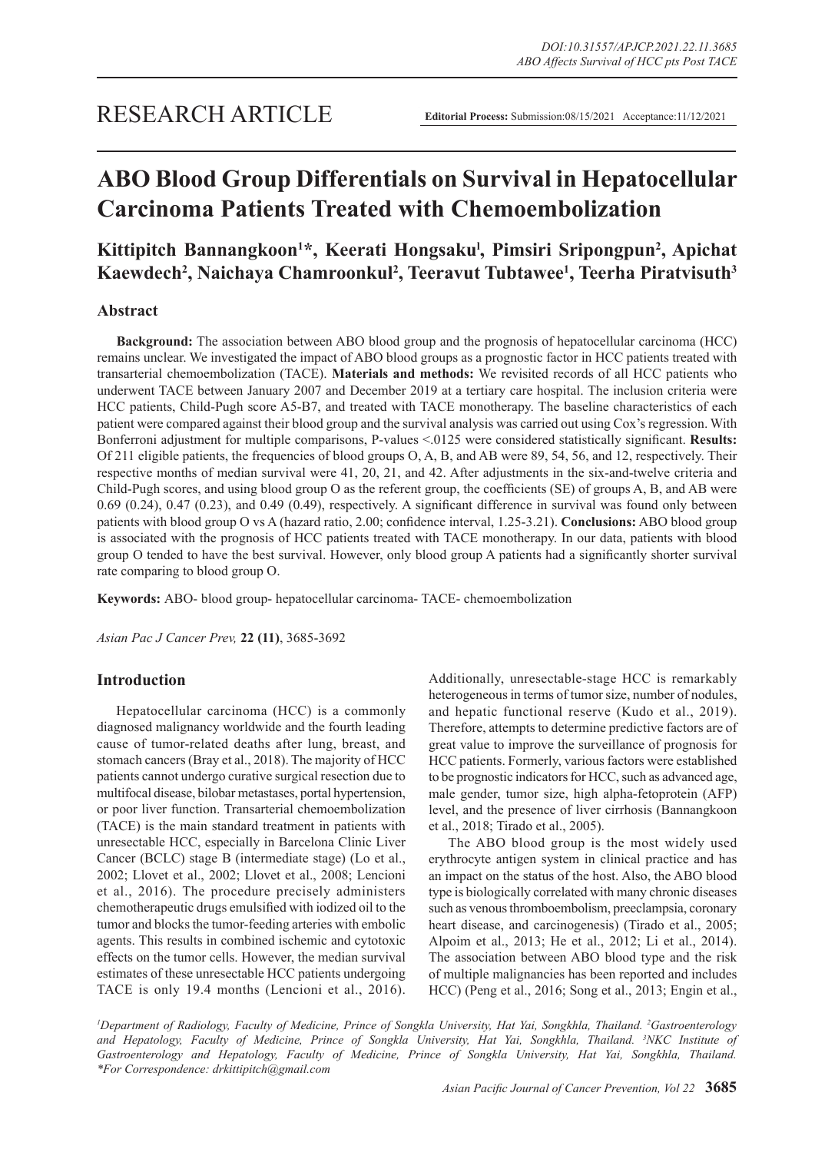# **ABO Blood Group Differentials on Survival in Hepatocellular Carcinoma Patients Treated with Chemoembolization**

## **Kittipitch Bannangkoon1 \*, Keerati Hongsakul , Pimsiri Sripongpun2 , Apichat Kaewdech2 , Naichaya Chamroonkul2 , Teeravut Tubtawee1 , Teerha Piratvisuth3**

## **Abstract**

**Background:** The association between ABO blood group and the prognosis of hepatocellular carcinoma (HCC) remains unclear. We investigated the impact of ABO blood groups as a prognostic factor in HCC patients treated with transarterial chemoembolization (TACE). **Materials and methods:** We revisited records of all HCC patients who underwent TACE between January 2007 and December 2019 at a tertiary care hospital. The inclusion criteria were HCC patients, Child-Pugh score A5-B7, and treated with TACE monotherapy. The baseline characteristics of each patient were compared against their blood group and the survival analysis was carried out using Cox's regression. With Bonferroni adjustment for multiple comparisons, P-values <.0125 were considered statistically significant. **Results:**  Of 211 eligible patients, the frequencies of blood groups O, A, B, and AB were 89, 54, 56, and 12, respectively. Their respective months of median survival were 41, 20, 21, and 42. After adjustments in the six-and-twelve criteria and Child-Pugh scores, and using blood group O as the referent group, the coefficients (SE) of groups A, B, and AB were 0.69 (0.24), 0.47 (0.23), and 0.49 (0.49), respectively. A significant difference in survival was found only between patients with blood group O vs A (hazard ratio, 2.00; confidence interval, 1.25-3.21). **Conclusions:** ABO blood group is associated with the prognosis of HCC patients treated with TACE monotherapy. In our data, patients with blood group O tended to have the best survival. However, only blood group A patients had a significantly shorter survival rate comparing to blood group O.

**Keywords:** ABO- blood group- hepatocellular carcinoma- TACE- chemoembolization

*Asian Pac J Cancer Prev,* **22 (11)**, 3685-3692

## **Introduction**

Hepatocellular carcinoma (HCC) is a commonly diagnosed malignancy worldwide and the fourth leading cause of tumor-related deaths after lung, breast, and stomach cancers (Bray et al., 2018). The majority of HCC patients cannot undergo curative surgical resection due to multifocal disease, bilobar metastases, portal hypertension, or poor liver function. Transarterial chemoembolization (TACE) is the main standard treatment in patients with unresectable HCC, especially in Barcelona Clinic Liver Cancer (BCLC) stage B (intermediate stage) (Lo et al., 2002; Llovet et al., 2002; Llovet et al., 2008; Lencioni et al., 2016). The procedure precisely administers chemotherapeutic drugs emulsified with iodized oil to the tumor and blocks the tumor-feeding arteries with embolic agents. This results in combined ischemic and cytotoxic effects on the tumor cells. However, the median survival estimates of these unresectable HCC patients undergoing TACE is only 19.4 months (Lencioni et al., 2016). Additionally, unresectable-stage HCC is remarkably heterogeneous in terms of tumor size, number of nodules, and hepatic functional reserve (Kudo et al., 2019). Therefore, attempts to determine predictive factors are of great value to improve the surveillance of prognosis for HCC patients. Formerly, various factors were established to be prognostic indicators for HCC, such as advanced age, male gender, tumor size, high alpha-fetoprotein (AFP) level, and the presence of liver cirrhosis (Bannangkoon et al., 2018; Tirado et al., 2005).

The ABO blood group is the most widely used erythrocyte antigen system in clinical practice and has an impact on the status of the host. Also, the ABO blood type is biologically correlated with many chronic diseases such as venous thromboembolism, preeclampsia, coronary heart disease, and carcinogenesis) (Tirado et al., 2005; Alpoim et al., 2013; He et al., 2012; Li et al., 2014). The association between ABO blood type and the risk of multiple malignancies has been reported and includes HCC) (Peng et al., 2016; Song et al., 2013; Engin et al.,

*1 Department of Radiology, Faculty of Medicine, Prince of Songkla University, Hat Yai, Songkhla, Thailand. 2 Gastroenterology and Hepatology, Faculty of Medicine, Prince of Songkla University, Hat Yai, Songkhla, Thailand. 3 NKC Institute of*  Gastroenterology and Hepatology, Faculty of Medicine, Prince of Songkla University, Hat Yai, Songkhla, Thailand. *\*For Correspondence: drkittipitch@gmail.com*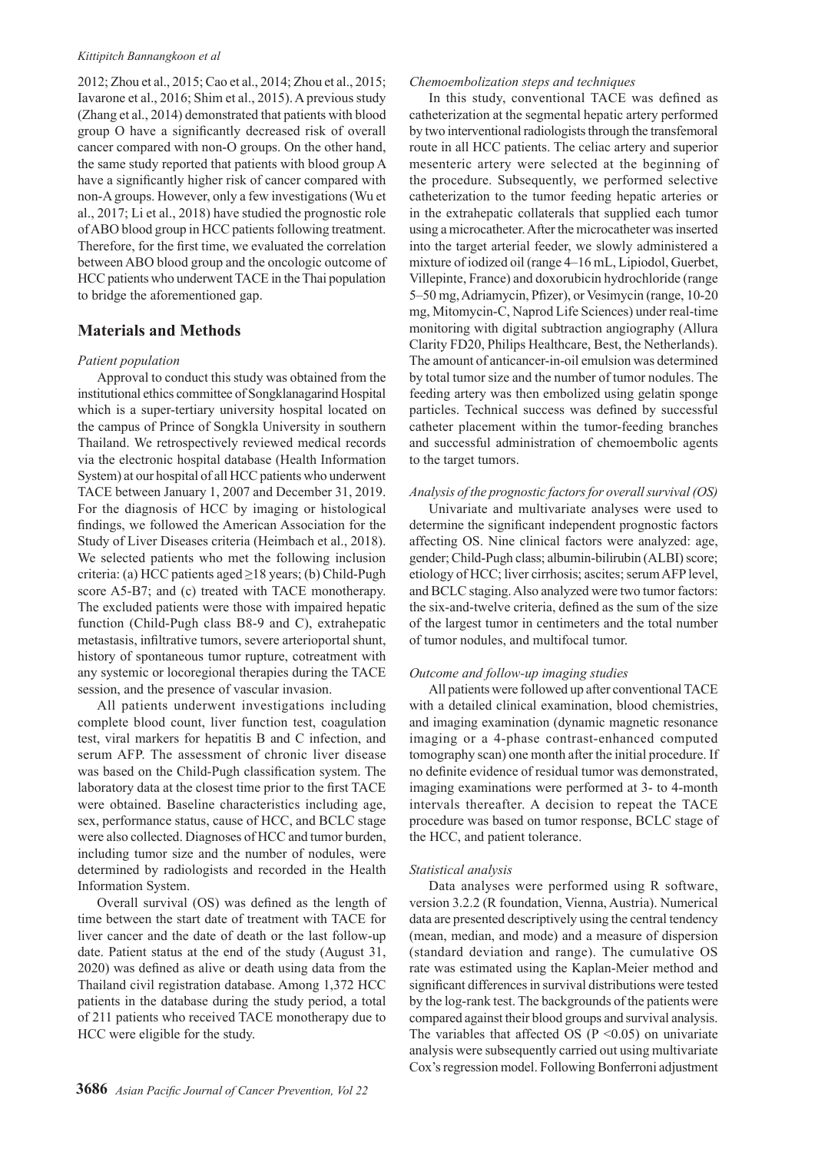#### *Kittipitch Bannangkoon et al*

2012; Zhou et al., 2015; Cao et al., 2014; Zhou et al., 2015; Iavarone et al., 2016; Shim et al., 2015). A previous study (Zhang et al., 2014) demonstrated that patients with blood group O have a significantly decreased risk of overall cancer compared with non-O groups. On the other hand, the same study reported that patients with blood group A have a significantly higher risk of cancer compared with non-A groups. However, only a few investigations (Wu et al., 2017; Li et al., 2018) have studied the prognostic role of ABO blood group in HCC patients following treatment. Therefore, for the first time, we evaluated the correlation between ABO blood group and the oncologic outcome of HCC patients who underwent TACE in the Thai population to bridge the aforementioned gap.

## **Materials and Methods**

#### *Patient population*

Approval to conduct this study was obtained from the institutional ethics committee of Songklanagarind Hospital which is a super-tertiary university hospital located on the campus of Prince of Songkla University in southern Thailand. We retrospectively reviewed medical records via the electronic hospital database (Health Information System) at our hospital of all HCC patients who underwent TACE between January 1, 2007 and December 31, 2019. For the diagnosis of HCC by imaging or histological findings, we followed the American Association for the Study of Liver Diseases criteria (Heimbach et al., 2018). We selected patients who met the following inclusion criteria: (a) HCC patients aged ≥18 years; (b) Child-Pugh score A5-B7; and (c) treated with TACE monotherapy. The excluded patients were those with impaired hepatic function (Child-Pugh class B8-9 and C), extrahepatic metastasis, infiltrative tumors, severe arterioportal shunt, history of spontaneous tumor rupture, cotreatment with any systemic or locoregional therapies during the TACE session, and the presence of vascular invasion.

All patients underwent investigations including complete blood count, liver function test, coagulation test, viral markers for hepatitis B and C infection, and serum AFP. The assessment of chronic liver disease was based on the Child-Pugh classification system. The laboratory data at the closest time prior to the first TACE were obtained. Baseline characteristics including age, sex, performance status, cause of HCC, and BCLC stage were also collected. Diagnoses of HCC and tumor burden, including tumor size and the number of nodules, were determined by radiologists and recorded in the Health Information System.

Overall survival (OS) was defined as the length of time between the start date of treatment with TACE for liver cancer and the date of death or the last follow-up date. Patient status at the end of the study (August 31, 2020) was defined as alive or death using data from the Thailand civil registration database. Among 1,372 HCC patients in the database during the study period, a total of 211 patients who received TACE monotherapy due to HCC were eligible for the study.

#### *Chemoembolization steps and techniques*

In this study, conventional TACE was defined as catheterization at the segmental hepatic artery performed by two interventional radiologists through the transfemoral route in all HCC patients. The celiac artery and superior mesenteric artery were selected at the beginning of the procedure. Subsequently, we performed selective catheterization to the tumor feeding hepatic arteries or in the extrahepatic collaterals that supplied each tumor using a microcatheter. After the microcatheter was inserted into the target arterial feeder, we slowly administered a mixture of iodized oil (range 4-16 mL, Lipiodol, Guerbet, Villepinte, France) and doxorubicin hydrochloride (range 5‒50 mg, Adriamycin, Pfizer), or Vesimycin (range, 10-20 mg, Mitomycin-C, Naprod Life Sciences) under real-time monitoring with digital subtraction angiography (Allura Clarity FD20, Philips Healthcare, Best, the Netherlands). The amount of anticancer-in-oil emulsion was determined by total tumor size and the number of tumor nodules. The feeding artery was then embolized using gelatin sponge particles. Technical success was defined by successful catheter placement within the tumor-feeding branches and successful administration of chemoembolic agents to the target tumors.

### *Analysis of the prognostic factors for overall survival (OS)*

Univariate and multivariate analyses were used to determine the significant independent prognostic factors affecting OS. Nine clinical factors were analyzed: age, gender; Child-Pugh class; albumin-bilirubin (ALBI) score; etiology of HCC; liver cirrhosis; ascites; serum AFP level, and BCLC staging. Also analyzed were two tumor factors: the six-and-twelve criteria, defined as the sum of the size of the largest tumor in centimeters and the total number of tumor nodules, and multifocal tumor.

#### *Outcome and follow-up imaging studies*

All patients were followed up after conventional TACE with a detailed clinical examination, blood chemistries, and imaging examination (dynamic magnetic resonance imaging or a 4-phase contrast-enhanced computed tomography scan) one month after the initial procedure. If no definite evidence of residual tumor was demonstrated, imaging examinations were performed at 3- to 4-month intervals thereafter. A decision to repeat the TACE procedure was based on tumor response, BCLC stage of the HCC, and patient tolerance.

#### *Statistical analysis*

Data analyses were performed using R software, version 3.2.2 (R foundation, Vienna, Austria). Numerical data are presented descriptively using the central tendency (mean, median, and mode) and a measure of dispersion (standard deviation and range). The cumulative OS rate was estimated using the Kaplan-Meier method and significant differences in survival distributions were tested by the log-rank test. The backgrounds of the patients were compared against their blood groups and survival analysis. The variables that affected OS ( $P \le 0.05$ ) on univariate analysis were subsequently carried out using multivariate Cox's regression model. Following Bonferroni adjustment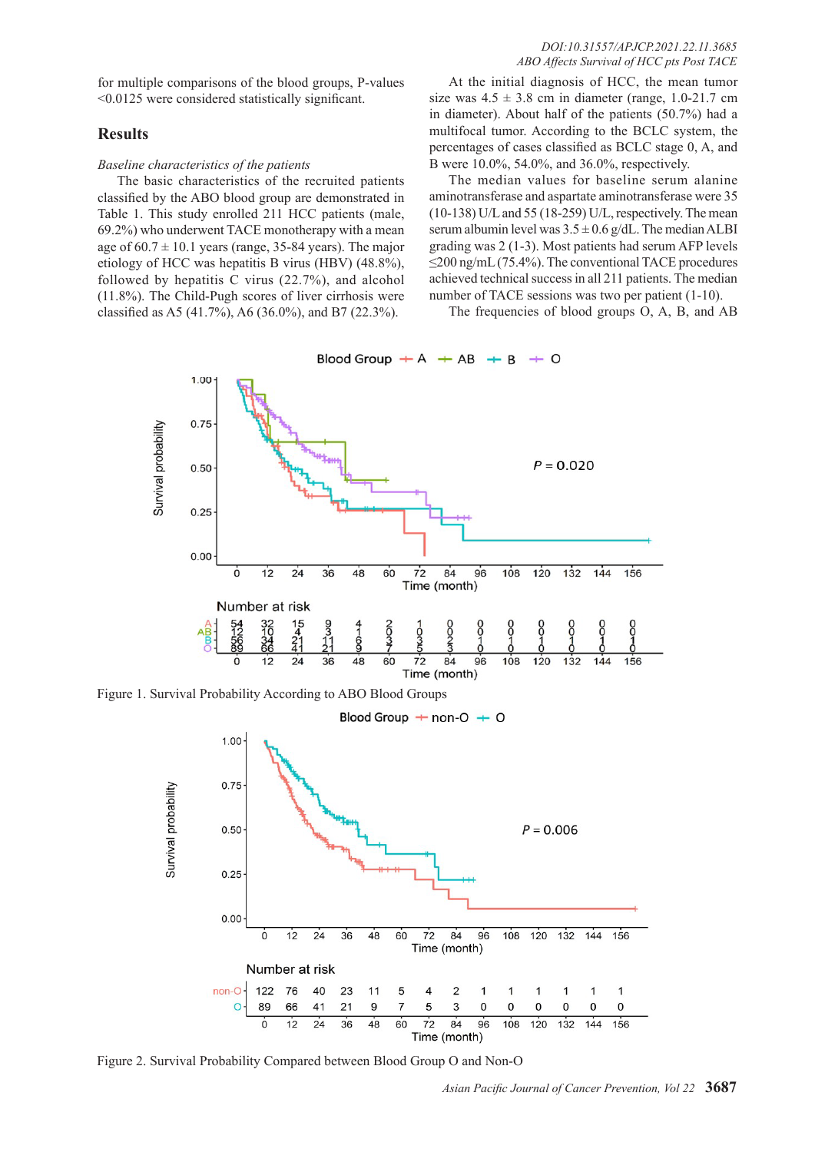for multiple comparisons of the blood groups, P-values <0.0125 were considered statistically significant.

## **Results**

## *Baseline characteristics of the patients*

The basic characteristics of the recruited patients classified by the ABO blood group are demonstrated in Table 1. This study enrolled 211 HCC patients (male, 69.2%) who underwent TACE monotherapy with a mean age of  $60.7 \pm 10.1$  years (range, 35-84 years). The major etiology of HCC was hepatitis B virus (HBV) (48.8%), followed by hepatitis C virus (22.7%), and alcohol (11.8%). The Child-Pugh scores of liver cirrhosis were classified as A5 (41.7%), A6 (36.0%), and B7 (22.3%).

At the initial diagnosis of HCC, the mean tumor size was  $4.5 \pm 3.8$  cm in diameter (range, 1.0-21.7 cm in diameter). About half of the patients (50.7%) had a multifocal tumor. According to the BCLC system, the percentages of cases classified as BCLC stage 0, A, and B were 10.0%, 54.0%, and 36.0%, respectively.

The median values for baseline serum alanine aminotransferase and aspartate aminotransferase were 35 (10-138) U/L and 55 (18-259) U/L, respectively. The mean serum albumin level was  $3.5 \pm 0.6$  g/dL. The median ALBI grading was 2 (1-3). Most patients had serum AFP levels ≤200 ng/mL (75.4%). The conventional TACE procedures achieved technical success in all 211 patients. The median number of TACE sessions was two per patient (1-10).

The frequencies of blood groups O, A, B, and AB



Figure 1. Survival Probability According to ABO Blood Groups





Figure 2. Survival Probability Compared between Blood Group O and Non-O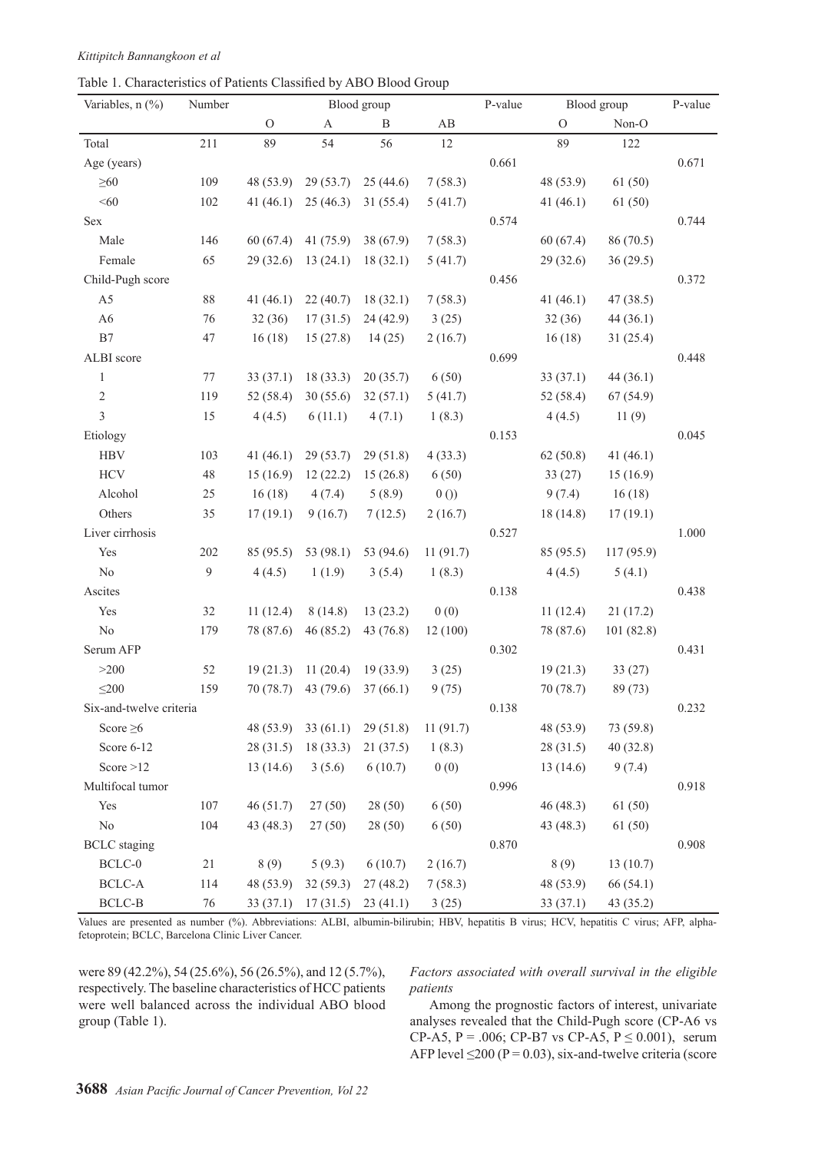Table 1. Characteristics of Patients Classified by ABO Blood Group

| Variables, n (%)        | Number |             |              | Blood group |          | P-value |               | Blood group | P-value |
|-------------------------|--------|-------------|--------------|-------------|----------|---------|---------------|-------------|---------|
|                         |        | $\Omega$    | $\mathbf{A}$ | B           | AB       |         | $\mathcal{O}$ | Non-O       |         |
| Total                   | 211    | 89          | 54           | 56          | 12       |         | 89            | 122         |         |
| Age (years)             |        |             |              |             |          | 0.661   |               |             | 0.671   |
| $\geq 60$               | 109    | 48 (53.9)   | 29(53.7)     | 25(44.6)    | 7(58.3)  |         | 48 (53.9)     | 61(50)      |         |
| < 60                    | 102    | 41 $(46.1)$ | 25(46.3)     | 31(55.4)    | 5(41.7)  |         | 41(46.1)      | 61(50)      |         |
| Sex                     |        |             |              |             |          | 0.574   |               |             | 0.744   |
| Male                    | 146    | 60(67.4)    | 41(75.9)     | 38(67.9)    | 7(58.3)  |         | 60(67.4)      | 86 (70.5)   |         |
| Female                  | 65     | 29(32.6)    | 13(24.1)     | 18(32.1)    | 5(41.7)  |         | 29(32.6)      | 36(29.5)    |         |
| Child-Pugh score        |        |             |              |             |          | 0.456   |               |             | 0.372   |
| A <sub>5</sub>          | $88\,$ | 41(46.1)    | 22(40.7)     | 18(32.1)    | 7(58.3)  |         | 41(46.1)      | 47(38.5)    |         |
| A6                      | 76     | 32(36)      | 17(31.5)     | 24(42.9)    | 3(25)    |         | 32(36)        | 44(36.1)    |         |
| B7                      | 47     | 16(18)      | 15(27.8)     | 14(25)      | 2(16.7)  |         | 16(18)        | 31(25.4)    |         |
| ALBI score              |        |             |              |             |          | 0.699   |               |             | 0.448   |
| $\mathbf{1}$            | $77\,$ | 33(37.1)    | 18(33.3)     | 20(35.7)    | 6(50)    |         | 33(37.1)      | 44 (36.1)   |         |
| $\sqrt{2}$              | 119    | 52(58.4)    | 30(55.6)     | 32(57.1)    | 5(41.7)  |         | 52(58.4)      | 67(54.9)    |         |
| $\overline{\mathbf{3}}$ | 15     | 4(4.5)      | 6(11.1)      | 4(7.1)      | 1(8.3)   |         | 4(4.5)        | 11(9)       |         |
| Etiology                |        |             |              |             |          | 0.153   |               |             | 0.045   |
| <b>HBV</b>              | 103    | 41(46.1)    | 29(53.7)     | 29(51.8)    | 4(33.3)  |         | 62(50.8)      | 41 $(46.1)$ |         |
| <b>HCV</b>              | $48\,$ | 15(16.9)    | 12(22.2)     | 15(26.8)    | 6(50)    |         | 33(27)        | 15(16.9)    |         |
| Alcohol                 | 25     | 16(18)      | 4(7.4)       | 5(8.9)      | 0()      |         | 9(7.4)        | 16(18)      |         |
| Others                  | 35     | 17(19.1)    | 9(16.7)      | 7(12.5)     | 2(16.7)  |         | 18(14.8)      | 17(19.1)    |         |
| Liver cirrhosis         |        |             |              |             |          | 0.527   |               |             | 1.000   |
| Yes                     | 202    | 85 (95.5)   | 53 (98.1)    | 53 (94.6)   | 11(91.7) |         | 85 (95.5)     | 117 (95.9)  |         |
| $\rm No$                | 9      | 4(4.5)      | 1(1.9)       | 3(5.4)      | 1(8.3)   |         | 4(4.5)        | 5(4.1)      |         |
| Ascites                 |        |             |              |             |          | 0.138   |               |             | 0.438   |
| Yes                     | 32     | 11(12.4)    | 8(14.8)      | 13(23.2)    | 0(0)     |         | 11(12.4)      | 21(17.2)    |         |
| $\rm No$                | 179    | 78 (87.6)   | 46(85.2)     | 43 (76.8)   | 12(100)  |         | 78 (87.6)     | 101(82.8)   |         |
| Serum AFP               |        |             |              |             |          | 0.302   |               |             | 0.431   |
| >200                    | 52     | 19(21.3)    | 11(20.4)     | 19(33.9)    | 3(25)    |         | 19(21.3)      | 33(27)      |         |
| $\leq$ 200              | 159    | 70 (78.7)   | 43 (79.6)    | 37(66.1)    | 9(75)    |         | 70(78.7)      | 89 (73)     |         |
| Six-and-twelve criteria |        |             |              |             |          | 0.138   |               |             | 0.232   |
| Score $\geq 6$          |        | 48 (53.9)   | 33(61.1)     | 29(51.8)    | 11(91.7) |         | 48 (53.9)     | 73 (59.8)   |         |
| Score 6-12              |        | 28(31.5)    | 18(33.3)     | 21(37.5)    | 1(8.3)   |         | 28(31.5)      | 40(32.8)    |         |
| Score $>12$             |        | 13(14.6)    | 3(5.6)       | 6(10.7)     | 0(0)     |         | 13(14.6)      | 9(7.4)      |         |
| Multifocal tumor        |        |             |              |             |          | 0.996   |               |             | 0.918   |
| Yes                     | 107    | 46(51.7)    | 27(50)       | 28(50)      | 6(50)    |         | 46(48.3)      | 61(50)      |         |
| $\rm No$                | 104    | 43 (48.3)   | 27(50)       | 28 (50)     | 6(50)    |         | 43 (48.3)     | 61 (50)     |         |
| <b>BCLC</b> staging     |        |             |              |             |          | 0.870   |               |             | 0.908   |
| BCLC-0                  | $21\,$ | 8(9)        | 5(9.3)       | 6(10.7)     | 2(16.7)  |         | 8(9)          | 13(10.7)    |         |
| BCLC-A                  | 114    | 48 (53.9)   | 32(59.3)     | 27(48.2)    | 7(58.3)  |         | 48 (53.9)     | 66 (54.1)   |         |
| $BCLC-B$                | 76     | 33(37.1)    | 17(31.5)     | 23(41.1)    | 3(25)    |         | 33(37.1)      | 43 (35.2)   |         |

Values are presented as number (%). Abbreviations: ALBI, albumin-bilirubin; HBV, hepatitis B virus; HCV, hepatitis C virus; AFP, alphafetoprotein; BCLC, Barcelona Clinic Liver Cancer.

were 89 (42.2%), 54 (25.6%), 56 (26.5%), and 12 (5.7%), respectively. The baseline characteristics of HCC patients were well balanced across the individual ABO blood group (Table 1).

*Factors associated with overall survival in the eligible patients*

Among the prognostic factors of interest, univariate analyses revealed that the Child-Pugh score (CP-A6 vs CP-A5,  $P = .006$ ; CP-B7 vs CP-A5,  $P \le 0.001$ ), serum AFP level  $\leq$ 200 (P = 0.03), six-and-twelve criteria (score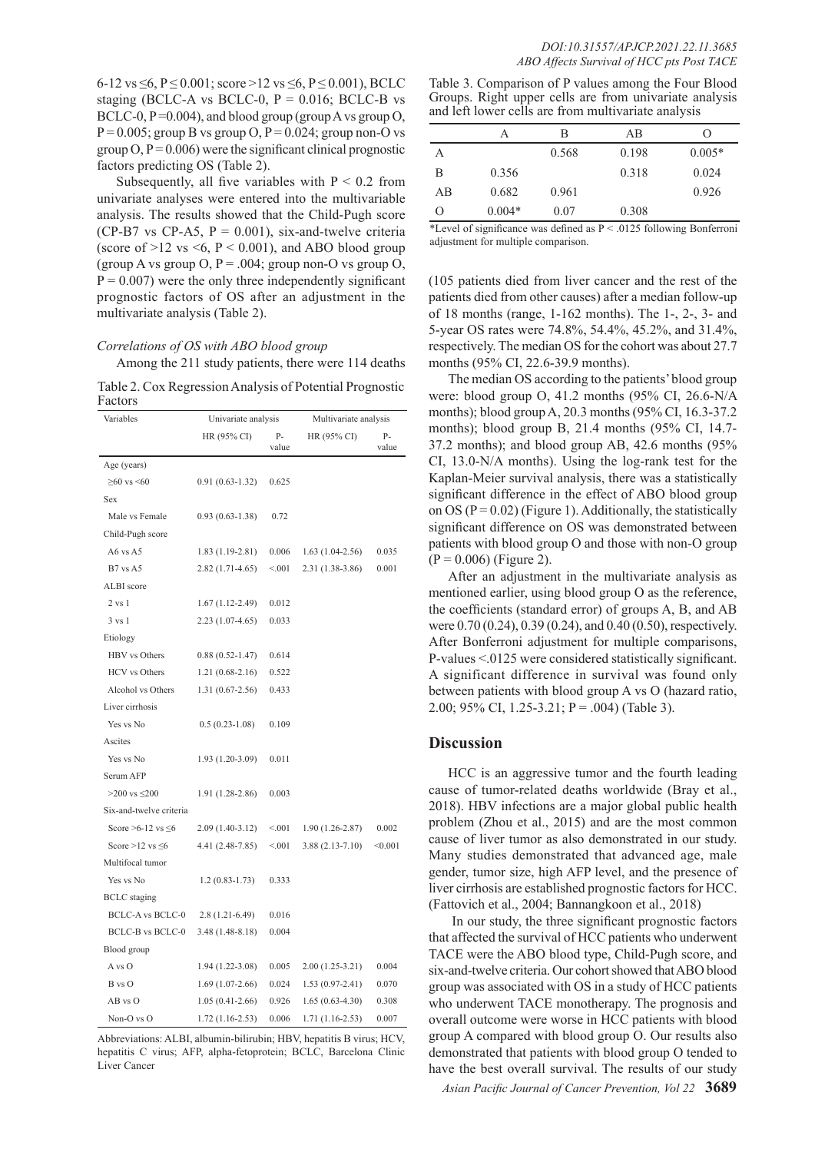6-12 vs  $\leq$ 6, P $\leq$  0.001; score >12 vs  $\leq$ 6, P $\leq$  0.001), BCLC staging (BCLC-A vs BCLC-0,  $P = 0.016$ ; BCLC-B vs BCLC-0,  $P = 0.004$ ), and blood group (group A vs group O,  $P = 0.005$ ; group B vs group O,  $P = 0.024$ ; group non-O vs group  $Q$ ,  $P = 0.006$ ) were the significant clinical prognostic factors predicting OS (Table 2).

Subsequently, all five variables with  $P < 0.2$  from univariate analyses were entered into the multivariable analysis. The results showed that the Child-Pugh score (CP-B7 vs CP-A5,  $P = 0.001$ ), six-and-twelve criteria (score of  $>12$  vs  $\leq 6$ ,  $P \leq 0.001$ ), and ABO blood group (group A vs group  $O, P = .004$ ; group non-O vs group  $O,$  $P = 0.007$ ) were the only three independently significant prognostic factors of OS after an adjustment in the multivariate analysis (Table 2).

### *Correlations of OS with ABO blood group*

Among the 211 study patients, there were 114 deaths

Table 2. Cox Regression Analysis of Potential Prognostic Factors

| Variables                 | Univariate analysis |             | Multivariate analysis |             |  |
|---------------------------|---------------------|-------------|-----------------------|-------------|--|
|                           | HR (95% CI)         | P-<br>value | HR (95% CI)           | P-<br>value |  |
| Age (years)               |                     |             |                       |             |  |
| $\geq 60$ vs <60          | $0.91(0.63-1.32)$   | 0.625       |                       |             |  |
| Sex                       |                     |             |                       |             |  |
| Male vs Female            | $0.93(0.63 - 1.38)$ | 0.72        |                       |             |  |
| Child-Pugh score          |                     |             |                       |             |  |
| A6 vs A5                  | $1.83(1.19-2.81)$   | 0.006       | $1.63(1.04-2.56)$     | 0.035       |  |
| $B7$ vs A5                | $2.82(1.71-4.65)$   | < 0.01      | 2.31 (1.38-3.86)      | 0.001       |  |
| ALBI score                |                     |             |                       |             |  |
| $2$ vs $1$                | $1.67(1.12 - 2.49)$ | 0.012       |                       |             |  |
| $3 \text{ vs } 1$         | $2.23(1.07-4.65)$   | 0.033       |                       |             |  |
| Etiology                  |                     |             |                       |             |  |
| HBV vs Others             | $0.88(0.52 - 1.47)$ | 0.614       |                       |             |  |
| <b>HCV</b> vs Others      | $1.21(0.68-2.16)$   | 0.522       |                       |             |  |
| Alcohol vs Others         | $1.31(0.67 - 2.56)$ | 0.433       |                       |             |  |
| Liver cirrhosis           |                     |             |                       |             |  |
| Yes vs No                 | $0.5(0.23-1.08)$    | 0.109       |                       |             |  |
| Ascites                   |                     |             |                       |             |  |
| Yes vs No                 | 1.93 (1.20-3.09)    | 0.011       |                       |             |  |
| Serum AFP                 |                     |             |                       |             |  |
| $>200$ vs $\leq 200$      | 1.91 (1.28-2.86)    | 0.003       |                       |             |  |
| Six-and-twelve criteria   |                     |             |                       |             |  |
| Score $>6-12$ vs $\leq 6$ | $2.09(1.40-3.12)$   | < 001       | $1.90(1.26-2.87)$     | 0.002       |  |
| Score > 12 vs $\leq 6$    | 4.41 (2.48-7.85)    | < 001       | $3.88(2.13 - 7.10)$   | < 0.001     |  |
| Multifocal tumor          |                     |             |                       |             |  |
| Yes vs No                 | $1.2(0.83 - 1.73)$  | 0.333       |                       |             |  |
| <b>BCLC</b> staging       |                     |             |                       |             |  |
| <b>BCLC-A vs BCLC-0</b>   | $2.8(1.21-6.49)$    | 0.016       |                       |             |  |
| <b>BCLC-B vs BCLC-0</b>   | $3.48(1.48-8.18)$   | 0.004       |                       |             |  |
| Blood group               |                     |             |                       |             |  |
| A vs O                    | $1.94(1.22 - 3.08)$ | 0.005       | $2.00(1.25-3.21)$     | 0.004       |  |
| B vs O                    | $1.69(1.07-2.66)$   | 0.024       | $1.53(0.97-2.41)$     | 0.070       |  |
| $AB$ vs $O$               | $1.05(0.41-2.66)$   | 0.926       | $1.65(0.63-4.30)$     | 0.308       |  |
| Non-O vs O                | $1.72(1.16-2.53)$   | 0.006       | $1.71(1.16-2.53)$     | 0.007       |  |

Abbreviations: ALBI, albumin-bilirubin; HBV, hepatitis B virus; HCV, hepatitis C virus; AFP, alpha-fetoprotein; BCLC, Barcelona Clinic Liver Cancer

Table 3. Comparison of P values among the Four Blood Groups. Right upper cells are from univariate analysis and left lower cells are from multivariate analysis

|    | Α        | B     | AB    | O        |
|----|----------|-------|-------|----------|
| A  |          | 0.568 | 0.198 | $0.005*$ |
| В  | 0.356    |       | 0.318 | 0.024    |
| AB | 0.682    | 0.961 |       | 0.926    |
| О  | $0.004*$ | 0.07  | 0.308 |          |

\*Level of significance was defined as P < .0125 following Bonferroni adjustment for multiple comparison.

(105 patients died from liver cancer and the rest of the patients died from other causes) after a median follow-up of 18 months (range, 1-162 months). The 1-, 2-, 3- and 5-year OS rates were 74.8%, 54.4%, 45.2%, and 31.4%, respectively. The median OS for the cohort was about 27.7 months (95% CI, 22.6-39.9 months).

The median OS according to the patients' blood group were: blood group O, 41.2 months (95% CI, 26.6-N/A months); blood group A, 20.3 months (95% CI, 16.3-37.2 months); blood group B, 21.4 months (95% CI, 14.7- 37.2 months); and blood group AB, 42.6 months (95% CI, 13.0-N/A months). Using the log-rank test for the Kaplan-Meier survival analysis, there was a statistically significant difference in the effect of ABO blood group on OS ( $P = 0.02$ ) (Figure 1). Additionally, the statistically significant difference on OS was demonstrated between patients with blood group O and those with non-O group  $(P = 0.006)$  (Figure 2).

After an adjustment in the multivariate analysis as mentioned earlier, using blood group O as the reference, the coefficients (standard error) of groups A, B, and AB were 0.70 (0.24), 0.39 (0.24), and 0.40 (0.50), respectively. After Bonferroni adjustment for multiple comparisons, P-values <.0125 were considered statistically significant. A significant difference in survival was found only between patients with blood group A vs O (hazard ratio, 2.00; 95% CI, 1.25-3.21; P = .004) (Table 3).

## **Discussion**

HCC is an aggressive tumor and the fourth leading cause of tumor-related deaths worldwide (Bray et al., 2018). HBV infections are a major global public health problem (Zhou et al., 2015) and are the most common cause of liver tumor as also demonstrated in our study. Many studies demonstrated that advanced age, male gender, tumor size, high AFP level, and the presence of liver cirrhosis are established prognostic factors for HCC. (Fattovich et al., 2004; Bannangkoon et al., 2018)

 In our study, the three significant prognostic factors that affected the survival of HCC patients who underwent TACE were the ABO blood type, Child-Pugh score, and six-and-twelve criteria. Our cohort showed that ABO blood group was associated with OS in a study of HCC patients who underwent TACE monotherapy. The prognosis and overall outcome were worse in HCC patients with blood group A compared with blood group O. Our results also demonstrated that patients with blood group O tended to have the best overall survival. The results of our study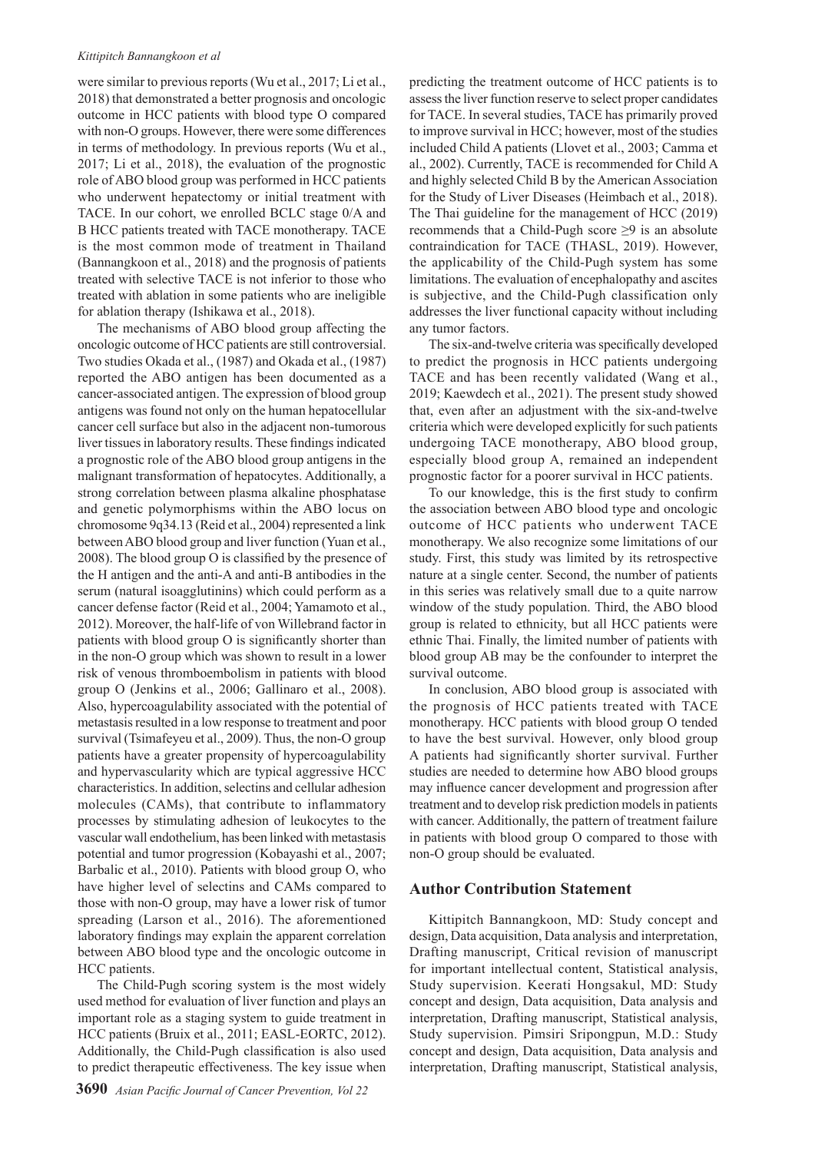#### *Kittipitch Bannangkoon et al*

were similar to previous reports (Wu et al., 2017; Li et al., 2018) that demonstrated a better prognosis and oncologic outcome in HCC patients with blood type O compared with non-O groups. However, there were some differences in terms of methodology. In previous reports (Wu et al., 2017; Li et al., 2018), the evaluation of the prognostic role of ABO blood group was performed in HCC patients who underwent hepatectomy or initial treatment with TACE. In our cohort, we enrolled BCLC stage 0/A and B HCC patients treated with TACE monotherapy. TACE is the most common mode of treatment in Thailand (Bannangkoon et al., 2018) and the prognosis of patients treated with selective TACE is not inferior to those who treated with ablation in some patients who are ineligible for ablation therapy (Ishikawa et al., 2018).

The mechanisms of ABO blood group affecting the oncologic outcome of HCC patients are still controversial. Two studies Okada et al., (1987) and Okada et al., (1987) reported the ABO antigen has been documented as a cancer-associated antigen. The expression of blood group antigens was found not only on the human hepatocellular cancer cell surface but also in the adjacent non-tumorous liver tissues in laboratory results. These findings indicated a prognostic role of the ABO blood group antigens in the malignant transformation of hepatocytes. Additionally, a strong correlation between plasma alkaline phosphatase and genetic polymorphisms within the ABO locus on chromosome 9q34.13 (Reid et al., 2004) represented a link between ABO blood group and liver function (Yuan et al., 2008). The blood group O is classified by the presence of the H antigen and the anti-A and anti-B antibodies in the serum (natural isoagglutinins) which could perform as a cancer defense factor (Reid et al., 2004; Yamamoto et al., 2012). Moreover, the half-life of von Willebrand factor in patients with blood group O is significantly shorter than in the non-O group which was shown to result in a lower risk of venous thromboembolism in patients with blood group O (Jenkins et al., 2006; Gallinaro et al., 2008). Also, hypercoagulability associated with the potential of metastasis resulted in a low response to treatment and poor survival (Tsimafeyeu et al., 2009). Thus, the non-O group patients have a greater propensity of hypercoagulability and hypervascularity which are typical aggressive HCC characteristics. In addition, selectins and cellular adhesion molecules (CAMs), that contribute to inflammatory processes by stimulating adhesion of leukocytes to the vascular wall endothelium, has been linked with metastasis potential and tumor progression (Kobayashi et al., 2007; Barbalic et al., 2010). Patients with blood group O, who have higher level of selectins and CAMs compared to those with non-O group, may have a lower risk of tumor spreading (Larson et al., 2016). The aforementioned laboratory findings may explain the apparent correlation between ABO blood type and the oncologic outcome in HCC patients.

The Child-Pugh scoring system is the most widely used method for evaluation of liver function and plays an important role as a staging system to guide treatment in HCC patients (Bruix et al., 2011; EASL-EORTC, 2012). Additionally, the Child-Pugh classification is also used to predict therapeutic effectiveness. The key issue when

predicting the treatment outcome of HCC patients is to assess the liver function reserve to select proper candidates for TACE. In several studies, TACE has primarily proved to improve survival in HCC; however, most of the studies included Child A patients (Llovet et al., 2003; Camma et al., 2002). Currently, TACE is recommended for Child A and highly selected Child B by the American Association for the Study of Liver Diseases (Heimbach et al., 2018). The Thai guideline for the management of HCC (2019) recommends that a Child-Pugh score  $\geq 9$  is an absolute contraindication for TACE (THASL, 2019). However, the applicability of the Child-Pugh system has some limitations. The evaluation of encephalopathy and ascites is subjective, and the Child-Pugh classification only addresses the liver functional capacity without including any tumor factors.

The six-and-twelve criteria was specifically developed to predict the prognosis in HCC patients undergoing TACE and has been recently validated (Wang et al., 2019; Kaewdech et al., 2021). The present study showed that, even after an adjustment with the six-and-twelve criteria which were developed explicitly for such patients undergoing TACE monotherapy, ABO blood group, especially blood group A, remained an independent prognostic factor for a poorer survival in HCC patients.

To our knowledge, this is the first study to confirm the association between ABO blood type and oncologic outcome of HCC patients who underwent TACE monotherapy. We also recognize some limitations of our study. First, this study was limited by its retrospective nature at a single center. Second, the number of patients in this series was relatively small due to a quite narrow window of the study population. Third, the ABO blood group is related to ethnicity, but all HCC patients were ethnic Thai. Finally, the limited number of patients with blood group AB may be the confounder to interpret the survival outcome.

In conclusion, ABO blood group is associated with the prognosis of HCC patients treated with TACE monotherapy. HCC patients with blood group O tended to have the best survival. However, only blood group A patients had significantly shorter survival. Further studies are needed to determine how ABO blood groups may influence cancer development and progression after treatment and to develop risk prediction models in patients with cancer. Additionally, the pattern of treatment failure in patients with blood group O compared to those with non-O group should be evaluated.

## **Author Contribution Statement**

Kittipitch Bannangkoon, MD: Study concept and design, Data acquisition, Data analysis and interpretation, Drafting manuscript, Critical revision of manuscript for important intellectual content, Statistical analysis, Study supervision. Keerati Hongsakul, MD: Study concept and design, Data acquisition, Data analysis and interpretation, Drafting manuscript, Statistical analysis, Study supervision. Pimsiri Sripongpun, M.D.: Study concept and design, Data acquisition, Data analysis and interpretation, Drafting manuscript, Statistical analysis,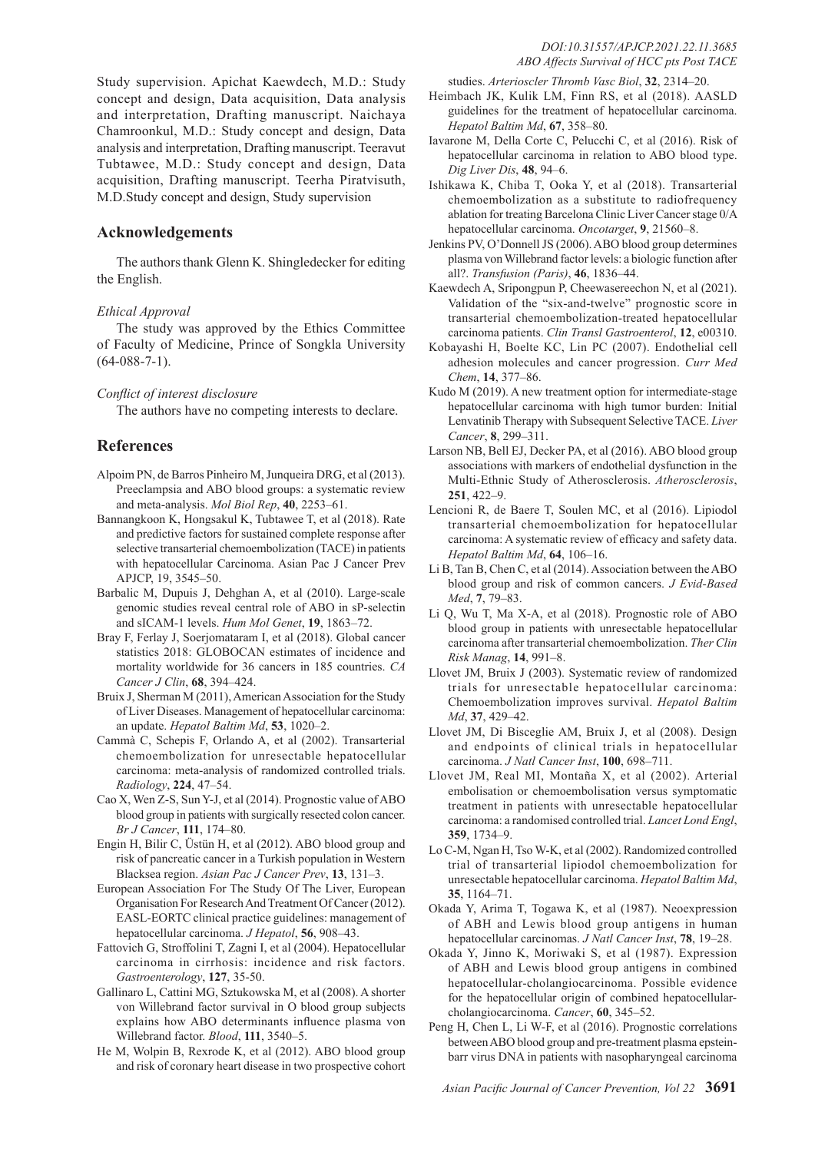Study supervision. Apichat Kaewdech, M.D.: Study concept and design, Data acquisition, Data analysis and interpretation, Drafting manuscript. Naichaya Chamroonkul, M.D.: Study concept and design, Data analysis and interpretation, Drafting manuscript. Teeravut Tubtawee, M.D.: Study concept and design, Data acquisition, Drafting manuscript. Teerha Piratvisuth, M.D.Study concept and design, Study supervision

## **Acknowledgements**

The authors thank Glenn K. Shingledecker for editing the English.

#### *Ethical Approval*

The study was approved by the Ethics Committee of Faculty of Medicine, Prince of Songkla University (64-088-7-1).

*Conflict of interest disclosure* 

The authors have no competing interests to declare.

## **References**

- Alpoim PN, de Barros Pinheiro M, Junqueira DRG, et al (2013). Preeclampsia and ABO blood groups: a systematic review and meta-analysis. *Mol Biol Rep*, **40**, 2253–61.
- Bannangkoon K, Hongsakul K, Tubtawee T, et al (2018). Rate and predictive factors for sustained complete response after selective transarterial chemoembolization (TACE) in patients with hepatocellular Carcinoma. Asian Pac J Cancer Prev APJCP, 19, 3545–50.
- Barbalic M, Dupuis J, Dehghan A, et al (2010). Large-scale genomic studies reveal central role of ABO in sP-selectin and sICAM-1 levels. *Hum Mol Genet*, **19**, 1863–72.
- Bray F, Ferlay J, Soerjomataram I, et al (2018). Global cancer statistics 2018: GLOBOCAN estimates of incidence and mortality worldwide for 36 cancers in 185 countries. *CA Cancer J Clin*, **68**, 394–424.
- Bruix J, Sherman M (2011), American Association for the Study of Liver Diseases. Management of hepatocellular carcinoma: an update. *Hepatol Baltim Md*, **53**, 1020–2.
- Cammà C, Schepis F, Orlando A, et al (2002). Transarterial chemoembolization for unresectable hepatocellular carcinoma: meta-analysis of randomized controlled trials. *Radiology*, **224**, 47–54.
- Cao X, Wen Z-S, Sun Y-J, et al (2014). Prognostic value of ABO blood group in patients with surgically resected colon cancer. *Br J Cancer*, **111**, 174–80.
- Engin H, Bilir C, Üstün H, et al (2012). ABO blood group and risk of pancreatic cancer in a Turkish population in Western Blacksea region. *Asian Pac J Cancer Prev*, **13**, 131–3.
- European Association For The Study Of The Liver, European Organisation For Research And Treatment Of Cancer (2012). EASL-EORTC clinical practice guidelines: management of hepatocellular carcinoma. *J Hepatol*, **56**, 908–43.
- Fattovich G, Stroffolini T, Zagni I, et al (2004). Hepatocellular carcinoma in cirrhosis: incidence and risk factors. *Gastroenterology*, **127**, 35-50.
- Gallinaro L, Cattini MG, Sztukowska M, et al (2008). A shorter von Willebrand factor survival in O blood group subjects explains how ABO determinants influence plasma von Willebrand factor. *Blood*, **111**, 3540–5.
- He M, Wolpin B, Rexrode K, et al (2012). ABO blood group and risk of coronary heart disease in two prospective cohort

studies. *Arterioscler Thromb Vasc Biol*, **32**, 2314–20.

- Heimbach JK, Kulik LM, Finn RS, et al (2018). AASLD guidelines for the treatment of hepatocellular carcinoma. *Hepatol Baltim Md*, **67**, 358–80.
- Iavarone M, Della Corte C, Pelucchi C, et al (2016). Risk of hepatocellular carcinoma in relation to ABO blood type. *Dig Liver Dis*, **48**, 94–6.
- Ishikawa K, Chiba T, Ooka Y, et al (2018). Transarterial chemoembolization as a substitute to radiofrequency ablation for treating Barcelona Clinic Liver Cancer stage 0/A hepatocellular carcinoma. *Oncotarget*, **9**, 21560–8.
- Jenkins PV, O'Donnell JS (2006). ABO blood group determines plasma von Willebrand factor levels: a biologic function after all?. *Transfusion (Paris)*, **46**, 1836–44.
- Kaewdech A, Sripongpun P, Cheewasereechon N, et al (2021). Validation of the "six-and-twelve" prognostic score in transarterial chemoembolization-treated hepatocellular carcinoma patients. *Clin Transl Gastroenterol*, **12**, e00310.
- Kobayashi H, Boelte KC, Lin PC (2007). Endothelial cell adhesion molecules and cancer progression. *Curr Med Chem*, **14**, 377–86.
- Kudo M (2019). A new treatment option for intermediate-stage hepatocellular carcinoma with high tumor burden: Initial Lenvatinib Therapy with Subsequent Selective TACE. *Liver Cancer*, **8**, 299–311.
- Larson NB, Bell EJ, Decker PA, et al (2016). ABO blood group associations with markers of endothelial dysfunction in the Multi-Ethnic Study of Atherosclerosis. *Atherosclerosis*, **251**, 422–9.
- Lencioni R, de Baere T, Soulen MC, et al (2016). Lipiodol transarterial chemoembolization for hepatocellular carcinoma: A systematic review of efficacy and safety data. *Hepatol Baltim Md*, **64**, 106–16.
- Li B, Tan B, Chen C, et al (2014). Association between the ABO blood group and risk of common cancers. *J Evid-Based Med*, **7**, 79–83.
- Li Q, Wu T, Ma X-A, et al (2018). Prognostic role of ABO blood group in patients with unresectable hepatocellular carcinoma after transarterial chemoembolization. *Ther Clin Risk Manag*, **14**, 991–8.
- Llovet JM, Bruix J (2003). Systematic review of randomized trials for unresectable hepatocellular carcinoma: Chemoembolization improves survival. *Hepatol Baltim Md*, **37**, 429–42.
- Llovet JM, Di Bisceglie AM, Bruix J, et al (2008). Design and endpoints of clinical trials in hepatocellular carcinoma. *J Natl Cancer Inst*, **100**, 698–711.
- Llovet JM, Real MI, Montaña X, et al (2002). Arterial embolisation or chemoembolisation versus symptomatic treatment in patients with unresectable hepatocellular carcinoma: a randomised controlled trial. *Lancet Lond Engl*, **359**, 1734–9.
- Lo C-M, Ngan H, Tso W-K, et al (2002). Randomized controlled trial of transarterial lipiodol chemoembolization for unresectable hepatocellular carcinoma. *Hepatol Baltim Md*, **35**, 1164–71.
- Okada Y, Arima T, Togawa K, et al (1987). Neoexpression of ABH and Lewis blood group antigens in human hepatocellular carcinomas. *J Natl Cancer Inst*, **78**, 19–28.
- Okada Y, Jinno K, Moriwaki S, et al (1987). Expression of ABH and Lewis blood group antigens in combined hepatocellular-cholangiocarcinoma. Possible evidence for the hepatocellular origin of combined hepatocellularcholangiocarcinoma. *Cancer*, **60**, 345–52.
- Peng H, Chen L, Li W-F, et al (2016). Prognostic correlations between ABO blood group and pre-treatment plasma epsteinbarr virus DNA in patients with nasopharyngeal carcinoma

*Asian Pacific Journal of Cancer Prevention, Vol 22* **3691**